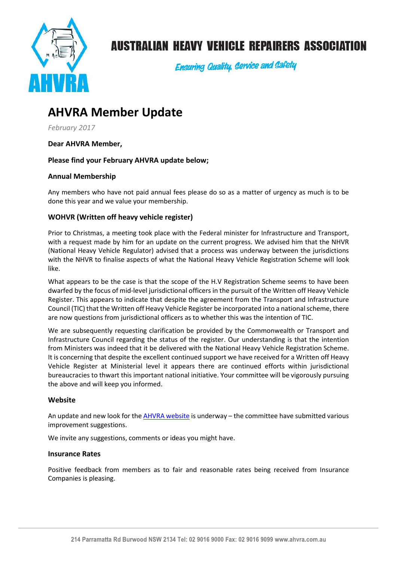

# **AUSTRALIAN HEAVY VEHICLE REPAIRERS ASSOCIATION**

**Ensuring Quality, Service and Safety** 

# **AHVRA Member Update**

*February 2017*

**Dear AHVRA Member,** 

## **Please find your February AHVRA update below;**

## **Annual Membership**

Any members who have not paid annual fees please do so as a matter of urgency as much is to be done this year and we value your membership.

### **WOHVR (Written off heavy vehicle register)**

Prior to Christmas, a meeting took place with the Federal minister for Infrastructure and Transport, with a request made by him for an update on the current progress. We advised him that the NHVR (National Heavy Vehicle Regulator) advised that a process was underway between the jurisdictions with the NHVR to finalise aspects of what the National Heavy Vehicle Registration Scheme will look like.

What appears to be the case is that the scope of the H.V Registration Scheme seems to have been dwarfed by the focus of mid-level jurisdictional officers in the pursuit of the Written off Heavy Vehicle Register. This appears to indicate that despite the agreement from the Transport and Infrastructure Council (TIC) that the Written off Heavy Vehicle Register be incorporated into a national scheme, there are now questions from jurisdictional officers as to whether this was the intention of TIC.

We are subsequently requesting clarification be provided by the Commonwealth or Transport and Infrastructure Council regarding the status of the register. Our understanding is that the intention from Ministers was indeed that it be delivered with the National Heavy Vehicle Registration Scheme. It is concerning that despite the excellent continued support we have received for a Written off Heavy Vehicle Register at Ministerial level it appears there are continued efforts within jurisdictional bureaucracies to thwart this important national initiative. Your committee will be vigorously pursuing the above and will keep you informed.

#### **Website**

An update and new look for the [AHVRA website](http://www.ahvra.com.au/) is underway – the committee have submitted various improvement suggestions.

We invite any suggestions, comments or ideas you might have.

#### **Insurance Rates**

Positive feedback from members as to fair and reasonable rates being received from Insurance Companies is pleasing.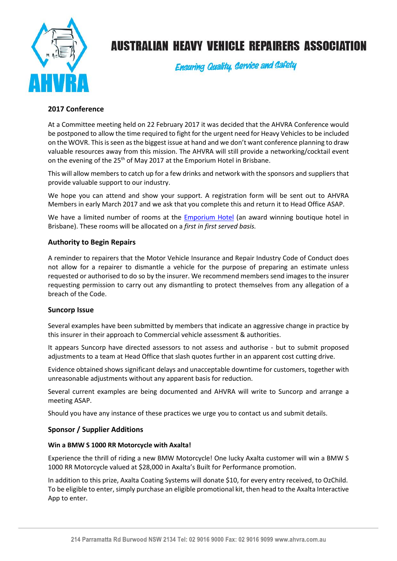

# **AUSTRALIAN HEAVY VEHICLE REPAIRERS ASSOCIATION**

**Ensuring Quality, Gervice and Gafety** 

## **2017 Conference**

At a Committee meeting held on 22 February 2017 it was decided that the AHVRA Conference would be postponed to allow the time required to fight for the urgent need for Heavy Vehicles to be included on the WOVR. This is seen as the biggest issue at hand and we don't want conference planning to draw valuable resources away from this mission. The AHVRA will still provide a networking/cocktail event on the evening of the 25<sup>th</sup> of May 2017 at the Emporium Hotel in Brisbane.

This will allow members to catch up for a few drinks and network with the sponsors and suppliers that provide valuable support to our industry.

We hope you can attend and show your support. A registration form will be sent out to AHVRA Members in early March 2017 and we ask that you complete this and return it to Head Office ASAP.

We have a limited number of rooms at the **Emporium Hotel** (an award winning boutique hotel in Brisbane). These rooms will be allocated on a *first in first served basis.*

### **Authority to Begin Repairs**

A reminder to repairers that the Motor Vehicle Insurance and Repair Industry Code of Conduct does not allow for a repairer to dismantle a vehicle for the purpose of preparing an estimate unless requested or authorised to do so by the insurer. We recommend members send images to the insurer requesting permission to carry out any dismantling to protect themselves from any allegation of a breach of the Code.

#### **Suncorp Issue**

Several examples have been submitted by members that indicate an aggressive change in practice by this insurer in their approach to Commercial vehicle assessment & authorities.

It appears Suncorp have directed assessors to not assess and authorise - but to submit proposed adjustments to a team at Head Office that slash quotes further in an apparent cost cutting drive.

Evidence obtained shows significant delays and unacceptable downtime for customers, together with unreasonable adjustments without any apparent basis for reduction.

Several current examples are being documented and AHVRA will write to Suncorp and arrange a meeting ASAP.

Should you have any instance of these practices we urge you to contact us and submit details.

#### **Sponsor / Supplier Additions**

#### **Win a BMW S 1000 RR Motorcycle with Axalta!**

Experience the thrill of riding a new BMW Motorcycle! One lucky Axalta customer will win a BMW S 1000 RR Motorcycle valued at \$28,000 in Axalta's Built for Performance promotion.

In addition to this prize, Axalta Coating Systems will donate \$10, for every entry received, to OzChild. To be eligible to enter, simply purchase an eligible promotional kit, then head to the Axalta Interactive App to enter.